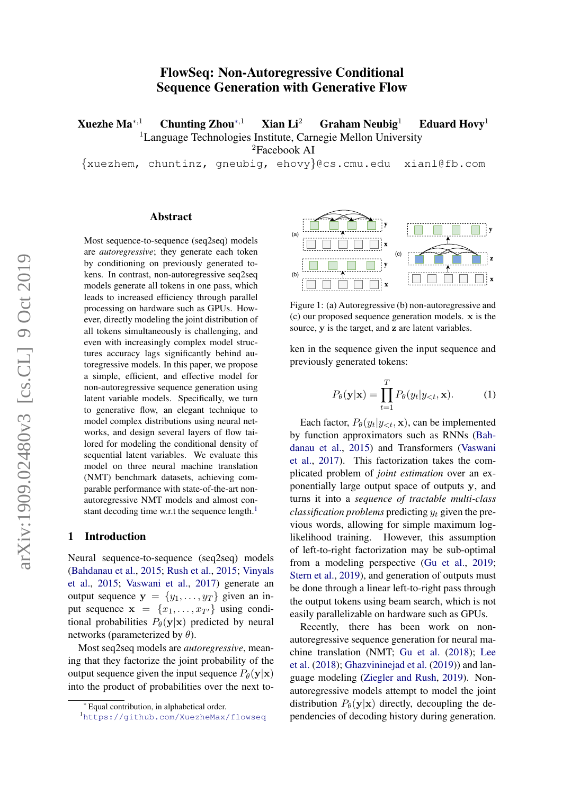# FlowSeq: Non-Autoregressive Conditional Sequence Generation with Generative Flow

Xuezhe Ma<sup>∗,1</sup> Chunting Zhou<sup>∗,1</sup> Xian Li<sup>2</sup> Graham Neubig<sup>1</sup> Eduard Hovy<sup>1</sup> <sup>1</sup>Language Technologies Institute, Carnegie Mellon University

<sup>2</sup>Facebook AI

{xuezhem, chuntinz, gneubig, ehovy}@cs.cmu.edu xianl@fb.com

#### Abstract

Most sequence-to-sequence (seq2seq) models are *autoregressive*; they generate each token by conditioning on previously generated tokens. In contrast, non-autoregressive seq2seq models generate all tokens in one pass, which leads to increased efficiency through parallel processing on hardware such as GPUs. However, directly modeling the joint distribution of all tokens simultaneously is challenging, and even with increasingly complex model structures accuracy lags significantly behind autoregressive models. In this paper, we propose a simple, efficient, and effective model for non-autoregressive sequence generation using latent variable models. Specifically, we turn to generative flow, an elegant technique to model complex distributions using neural networks, and design several layers of flow tailored for modeling the conditional density of sequential latent variables. We evaluate this model on three neural machine translation (NMT) benchmark datasets, achieving comparable performance with state-of-the-art nonautoregressive NMT models and almost con-stant decoding time w.r.t the sequence length.<sup>[1](#page-0-0)</sup>

#### 1 Introduction

Neural sequence-to-sequence (seq2seq) models [\(Bahdanau et al.,](#page-9-0) [2015;](#page-9-0) [Rush et al.,](#page-10-0) [2015;](#page-10-0) [Vinyals](#page-10-1) [et al.,](#page-10-1) [2015;](#page-10-1) [Vaswani et al.,](#page-10-2) [2017\)](#page-10-2) generate an output sequence  $y = \{y_1, \ldots, y_T\}$  given an input sequence  $\mathbf{x} = \{x_1, \dots, x_{T'}\}$  using conditional probabilities  $P_{\theta}(\mathbf{y}|\mathbf{x})$  predicted by neural networks (parameterized by  $\theta$ ).

Most seq2seq models are *autoregressive*, meaning that they factorize the joint probability of the output sequence given the input sequence  $P_{\theta}(\mathbf{y}|\mathbf{x})$ into the product of probabilities over the next to-



Figure 1: (a) Autoregressive (b) non-autoregressive and (c) our proposed sequence generation models. x is the source, y is the target, and z are latent variables.

ken in the sequence given the input sequence and previously generated tokens:

$$
P_{\theta}(\mathbf{y}|\mathbf{x}) = \prod_{t=1}^{T} P_{\theta}(y_t|y_{< t}, \mathbf{x}). \tag{1}
$$

Each factor,  $P_{\theta}(y_t|y_{< t}, \mathbf{x})$ , can be implemented by function approximators such as RNNs [\(Bah](#page-9-0)[danau et al.,](#page-9-0) [2015\)](#page-9-0) and Transformers [\(Vaswani](#page-10-2) [et al.,](#page-10-2) [2017\)](#page-10-2). This factorization takes the complicated problem of *joint estimation* over an exponentially large output space of outputs y, and turns it into a *sequence of tractable multi-class classification problems* predicting  $y_t$  given the previous words, allowing for simple maximum loglikelihood training. However, this assumption of left-to-right factorization may be sub-optimal from a modeling perspective [\(Gu et al.,](#page-9-1) [2019;](#page-9-1) [Stern et al.,](#page-10-3) [2019\)](#page-10-3), and generation of outputs must be done through a linear left-to-right pass through the output tokens using beam search, which is not easily parallelizable on hardware such as GPUs.

Recently, there has been work on nonautoregressive sequence generation for neural machine translation (NMT; [Gu et al.](#page-9-2) [\(2018\)](#page-9-2); [Lee](#page-9-3) [et al.](#page-9-3) [\(2018\)](#page-9-3); [Ghazvininejad et al.](#page-9-4) [\(2019\)](#page-9-4)) and language modeling [\(Ziegler and Rush,](#page-10-4) [2019\)](#page-10-4). Nonautoregressive models attempt to model the joint distribution  $P_{\theta}(\mathbf{y}|\mathbf{x})$  directly, decoupling the dependencies of decoding history during generation.

<sup>∗</sup> Equal contribution, in alphabetical order.

<span id="page-0-0"></span><sup>1</sup><https://github.com/XuezheMax/flowseq>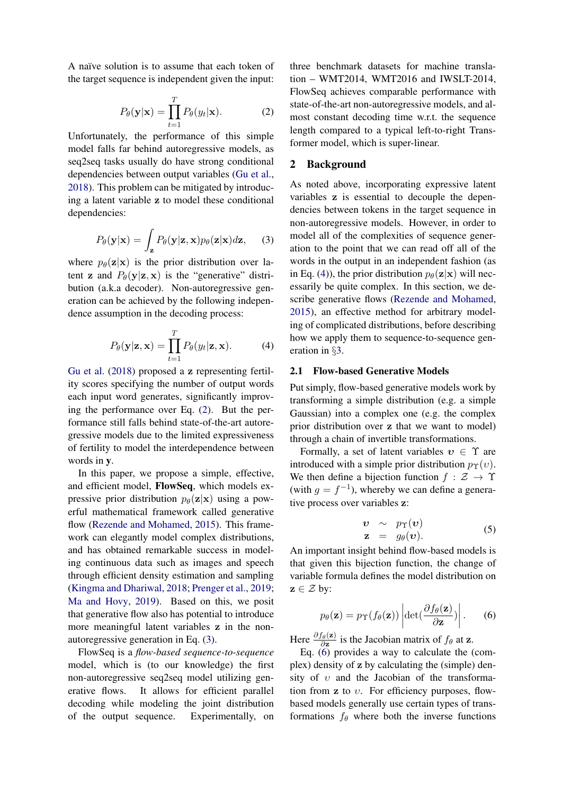<span id="page-1-0"></span>A naïve solution is to assume that each token of the target sequence is independent given the input:

$$
P_{\theta}(\mathbf{y}|\mathbf{x}) = \prod_{t=1}^{T} P_{\theta}(y_t|\mathbf{x}).
$$
 (2)

Unfortunately, the performance of this simple model falls far behind autoregressive models, as seq2seq tasks usually do have strong conditional dependencies between output variables [\(Gu et al.,](#page-9-2) [2018\)](#page-9-2). This problem can be mitigated by introducing a latent variable z to model these conditional dependencies:

<span id="page-1-1"></span>
$$
P_{\theta}(\mathbf{y}|\mathbf{x}) = \int_{\mathbf{z}} P_{\theta}(\mathbf{y}|\mathbf{z}, \mathbf{x}) p_{\theta}(\mathbf{z}|\mathbf{x}) d\mathbf{z}, \quad (3)
$$

where  $p_{\theta}(\mathbf{z}|\mathbf{x})$  is the prior distribution over latent z and  $P_{\theta}(\mathbf{y}|\mathbf{z}, \mathbf{x})$  is the "generative" distribution (a.k.a decoder). Non-autoregressive generation can be achieved by the following independence assumption in the decoding process:

$$
P_{\theta}(\mathbf{y}|\mathbf{z}, \mathbf{x}) = \prod_{t=1}^{T} P_{\theta}(y_t|\mathbf{z}, \mathbf{x}).
$$
 (4)

[Gu et al.](#page-9-2) [\(2018\)](#page-9-2) proposed a z representing fertility scores specifying the number of output words each input word generates, significantly improving the performance over Eq. [\(2\)](#page-1-0). But the performance still falls behind state-of-the-art autoregressive models due to the limited expressiveness of fertility to model the interdependence between words in y.

In this paper, we propose a simple, effective, and efficient model, FlowSeq, which models expressive prior distribution  $p_{\theta}(\mathbf{z}|\mathbf{x})$  using a powerful mathematical framework called generative flow [\(Rezende and Mohamed,](#page-10-5) [2015\)](#page-10-5). This framework can elegantly model complex distributions, and has obtained remarkable success in modeling continuous data such as images and speech through efficient density estimation and sampling [\(Kingma and Dhariwal,](#page-9-5) [2018;](#page-9-5) [Prenger et al.,](#page-10-6) [2019;](#page-10-6) [Ma and Hovy,](#page-9-6) [2019\)](#page-9-6). Based on this, we posit that generative flow also has potential to introduce more meaningful latent variables z in the nonautoregressive generation in Eq. [\(3\)](#page-1-1).

FlowSeq is a *flow-based sequence-to-sequence* model, which is (to our knowledge) the first non-autoregressive seq2seq model utilizing generative flows. It allows for efficient parallel decoding while modeling the joint distribution of the output sequence. Experimentally, on three benchmark datasets for machine translation – WMT2014, WMT2016 and IWSLT-2014, FlowSeq achieves comparable performance with state-of-the-art non-autoregressive models, and almost constant decoding time w.r.t. the sequence length compared to a typical left-to-right Transformer model, which is super-linear.

## 2 Background

As noted above, incorporating expressive latent variables z is essential to decouple the dependencies between tokens in the target sequence in non-autoregressive models. However, in order to model all of the complexities of sequence generation to the point that we can read off all of the words in the output in an independent fashion (as in Eq. [\(4\)](#page-1-2)), the prior distribution  $p_{\theta}(\mathbf{z}|\mathbf{x})$  will necessarily be quite complex. In this section, we describe generative flows [\(Rezende and Mohamed,](#page-10-5) [2015\)](#page-10-5), an effective method for arbitrary modeling of complicated distributions, before describing how we apply them to sequence-to-sequence generation in §[3.](#page-2-0)

## <span id="page-1-2"></span>2.1 Flow-based Generative Models

Put simply, flow-based generative models work by transforming a simple distribution (e.g. a simple Gaussian) into a complex one (e.g. the complex prior distribution over z that we want to model) through a chain of invertible transformations.

Formally, a set of latent variables  $v \in \Upsilon$  are introduced with a simple prior distribution  $p_{\Upsilon}(v)$ . We then define a bijection function  $f : \mathcal{Z} \to \Upsilon$ (with  $g = f^{-1}$ ), whereby we can define a generative process over variables z:

<span id="page-1-4"></span>
$$
\begin{array}{rcl}\n\boldsymbol{v} & \sim & p_{\Upsilon}(\boldsymbol{v}) \\
\mathbf{z} & = & g_{\theta}(\boldsymbol{v}).\n\end{array} \tag{5}
$$

An important insight behind flow-based models is that given this bijection function, the change of variable formula defines the model distribution on  $z \in \mathcal{Z}$  by:

<span id="page-1-3"></span>
$$
p_{\theta}(\mathbf{z}) = p_{\Upsilon}(f_{\theta}(\mathbf{z})) \left| \det(\frac{\partial f_{\theta}(\mathbf{z})}{\partial \mathbf{z}}) \right|.
$$
 (6)

Here  $\frac{\partial f_{\theta}(\mathbf{z})}{\partial \mathbf{z}}$  is the Jacobian matrix of  $f_{\theta}$  at z.

Eq. [\(6\)](#page-1-3) provides a way to calculate the (complex) density of z by calculating the (simple) density of  $v$  and the Jacobian of the transformation from  $z$  to  $v$ . For efficiency purposes, flowbased models generally use certain types of transformations  $f_{\theta}$  where both the inverse functions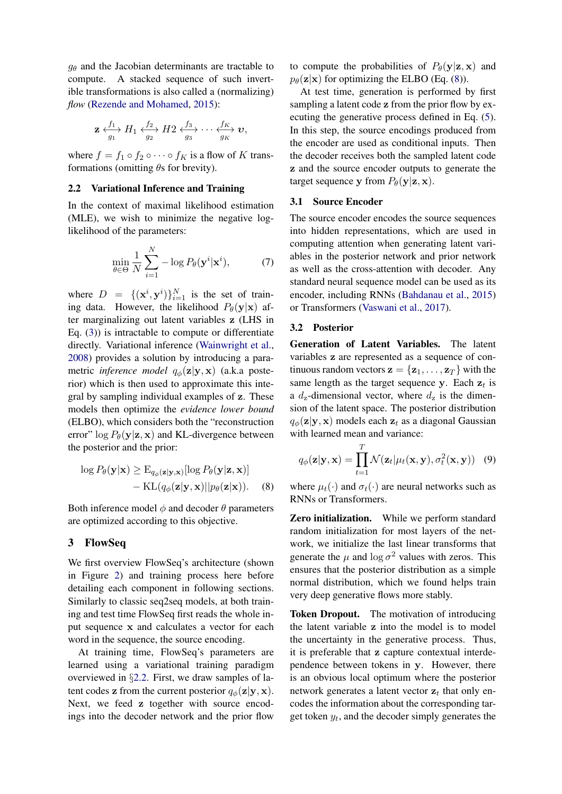$g_{\theta}$  and the Jacobian determinants are tractable to compute. A stacked sequence of such invertible transformations is also called a (normalizing) *flow* [\(Rezende and Mohamed,](#page-10-5) [2015\)](#page-10-5):

$$
\mathbf{z} \xleftrightarrow[0]{f_1}_{g_1} H_1 \xleftrightarrow[0]{f_2}_{g_2} H_2 \xleftrightarrow[0]{f_3}_{g_3} \cdots \xleftrightarrow[0]{f_K}_{g_K} \mathbf{v},
$$

where  $f = f_1 \circ f_2 \circ \cdots \circ f_K$  is a flow of K transformations (omitting  $\theta$ s for brevity).

#### <span id="page-2-1"></span>2.2 Variational Inference and Training

In the context of maximal likelihood estimation (MLE), we wish to minimize the negative loglikelihood of the parameters:

$$
\min_{\theta \in \Theta} \frac{1}{N} \sum_{i=1}^{N} -\log P_{\theta}(\mathbf{y}^{i} | \mathbf{x}^{i}), \tag{7}
$$

where  $D = \{(\mathbf{x}^i, \mathbf{y}^i)\}_{i=1}^N$  is the set of training data. However, the likelihood  $P_{\theta}(\mathbf{y}|\mathbf{x})$  after marginalizing out latent variables z (LHS in Eq. [\(3\)](#page-1-1)) is intractable to compute or differentiate directly. Variational inference [\(Wainwright et al.,](#page-10-7) [2008\)](#page-10-7) provides a solution by introducing a parametric *inference model*  $q_{\phi}(\mathbf{z}|\mathbf{y}, \mathbf{x})$  (a.k.a posterior) which is then used to approximate this integral by sampling individual examples of z. These models then optimize the *evidence lower bound* (ELBO), which considers both the "reconstruction error"  $\log P_{\theta}(\mathbf{y}|\mathbf{z}, \mathbf{x})$  and KL-divergence between the posterior and the prior:

$$
\log P_{\theta}(\mathbf{y}|\mathbf{x}) \ge \mathbf{E}_{q_{\phi}(\mathbf{z}|\mathbf{y},\mathbf{x})}[\log P_{\theta}(\mathbf{y}|\mathbf{z},\mathbf{x})] - \mathrm{KL}(q_{\phi}(\mathbf{z}|\mathbf{y},\mathbf{x})||p_{\theta}(\mathbf{z}|\mathbf{x})).
$$
 (8)

Both inference model  $\phi$  and decoder  $\theta$  parameters are optimized according to this objective.

# <span id="page-2-0"></span>3 FlowSeq

We first overview FlowSeq's architecture (shown in Figure [2\)](#page-3-0) and training process here before detailing each component in following sections. Similarly to classic seq2seq models, at both training and test time FlowSeq first reads the whole input sequence x and calculates a vector for each word in the sequence, the source encoding.

At training time, FlowSeq's parameters are learned using a variational training paradigm overviewed in §[2.2.](#page-2-1) First, we draw samples of latent codes z from the current posterior  $q_{\phi}(\mathbf{z}|\mathbf{y}, \mathbf{x})$ . Next, we feed z together with source encodings into the decoder network and the prior flow

to compute the probabilities of  $P_{\theta}(\mathbf{y}|\mathbf{z}, \mathbf{x})$  and  $p_{\theta}(\mathbf{z}|\mathbf{x})$  for optimizing the ELBO (Eq. [\(8\)](#page-2-2)).

At test time, generation is performed by first sampling a latent code z from the prior flow by executing the generative process defined in Eq. [\(5\)](#page-1-4). In this step, the source encodings produced from the encoder are used as conditional inputs. Then the decoder receives both the sampled latent code z and the source encoder outputs to generate the target sequence y from  $P_{\theta}(\mathbf{y}|\mathbf{z}, \mathbf{x})$ .

## 3.1 Source Encoder

The source encoder encodes the source sequences into hidden representations, which are used in computing attention when generating latent variables in the posterior network and prior network as well as the cross-attention with decoder. Any standard neural sequence model can be used as its encoder, including RNNs [\(Bahdanau et al.,](#page-9-0) [2015\)](#page-9-0) or Transformers [\(Vaswani et al.,](#page-10-2) [2017\)](#page-10-2).

#### 3.2 Posterior

Generation of Latent Variables. The latent variables z are represented as a sequence of continuous random vectors  $\mathbf{z} = {\mathbf{z}_1, \dots, \mathbf{z}_T}$  with the same length as the target sequence y. Each  $z_t$  is a  $d_z$ -dimensional vector, where  $d_z$  is the dimension of the latent space. The posterior distribution  $q_{\phi}(\mathbf{z}|\mathbf{y}, \mathbf{x})$  models each  $\mathbf{z}_t$  as a diagonal Gaussian with learned mean and variance:

$$
q_{\phi}(\mathbf{z}|\mathbf{y}, \mathbf{x}) = \prod_{t=1}^{T} \mathcal{N}(\mathbf{z}_t | \mu_t(\mathbf{x}, \mathbf{y}), \sigma_t^2(\mathbf{x}, \mathbf{y})) \quad (9)
$$

<span id="page-2-2"></span>where  $\mu_t(\cdot)$  and  $\sigma_t(\cdot)$  are neural networks such as RNNs or Transformers.

Zero initialization. While we perform standard random initialization for most layers of the network, we initialize the last linear transforms that generate the  $\mu$  and  $\log \sigma^2$  values with zeros. This ensures that the posterior distribution as a simple normal distribution, which we found helps train very deep generative flows more stably.

Token Dropout. The motivation of introducing the latent variable z into the model is to model the uncertainty in the generative process. Thus, it is preferable that z capture contextual interdependence between tokens in y. However, there is an obvious local optimum where the posterior network generates a latent vector  $z_t$  that only encodes the information about the corresponding target token  $y_t$ , and the decoder simply generates the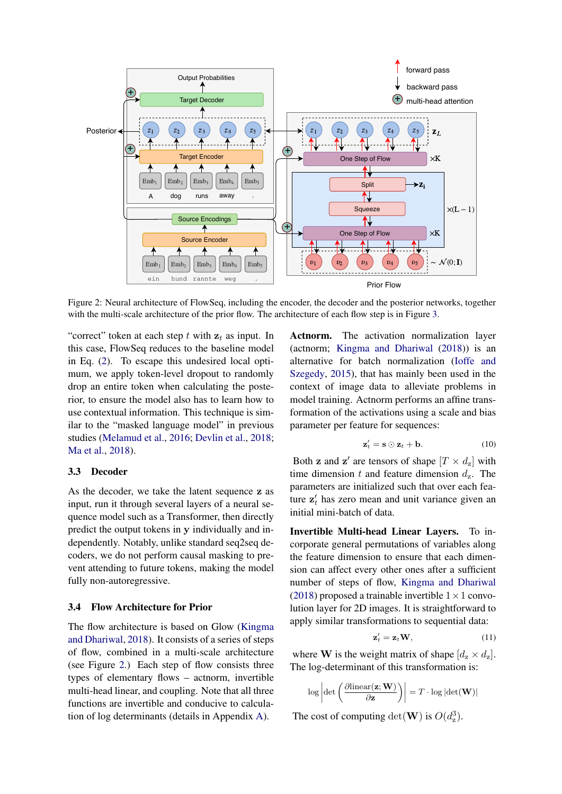<span id="page-3-0"></span>

Figure 2: Neural architecture of FlowSeq, including the encoder, the decoder and the posterior networks, together with the multi-scale architecture of the prior flow. The architecture of each flow step is in Figure [3.](#page-4-0)

"correct" token at each step  $t$  with  $z_t$  as input. In this case, FlowSeq reduces to the baseline model in Eq. [\(2\)](#page-1-0). To escape this undesired local optimum, we apply token-level dropout to randomly drop an entire token when calculating the posterior, to ensure the model also has to learn how to use contextual information. This technique is similar to the "masked language model" in previous studies [\(Melamud et al.,](#page-9-7) [2016;](#page-9-7) [Devlin et al.,](#page-9-8) [2018;](#page-9-8) [Ma et al.,](#page-9-9) [2018\)](#page-9-9).

## 3.3 Decoder

As the decoder, we take the latent sequence z as input, run it through several layers of a neural sequence model such as a Transformer, then directly predict the output tokens in y individually and independently. Notably, unlike standard seq2seq decoders, we do not perform causal masking to prevent attending to future tokens, making the model fully non-autoregressive.

## 3.4 Flow Architecture for Prior

The flow architecture is based on Glow [\(Kingma](#page-9-5) [and Dhariwal,](#page-9-5) [2018\)](#page-9-5). It consists of a series of steps of flow, combined in a multi-scale architecture (see Figure [2.](#page-3-0)) Each step of flow consists three types of elementary flows – actnorm, invertible multi-head linear, and coupling. Note that all three functions are invertible and conducive to calculation of log determinants (details in Appendix [A\)](#page-11-0).

Actnorm. The activation normalization layer (actnorm; [Kingma and Dhariwal](#page-9-5) [\(2018\)](#page-9-5)) is an alternative for batch normalization [\(Ioffe and](#page-9-10) [Szegedy,](#page-9-10) [2015\)](#page-9-10), that has mainly been used in the context of image data to alleviate problems in model training. Actnorm performs an affine transformation of the activations using a scale and bias parameter per feature for sequences:

$$
\mathbf{z}'_t = \mathbf{s} \odot \mathbf{z}_t + \mathbf{b}.\tag{10}
$$

Both **z** and **z'** are tensors of shape  $[T \times d_z]$  with time dimension t and feature dimension  $d_{\rm z}$ . The parameters are initialized such that over each feature  $z_t$  has zero mean and unit variance given an initial mini-batch of data.

Invertible Multi-head Linear Layers. To incorporate general permutations of variables along the feature dimension to ensure that each dimension can affect every other ones after a sufficient number of steps of flow, [Kingma and Dhariwal](#page-9-5) [\(2018\)](#page-9-5) proposed a trainable invertible  $1 \times 1$  convolution layer for 2D images. It is straightforward to apply similar transformations to sequential data:

$$
\mathbf{z}'_t = \mathbf{z}_t \mathbf{W},\tag{11}
$$

<span id="page-3-1"></span>where **W** is the weight matrix of shape  $[d_{z} \times d_{z}]$ . The log-determinant of this transformation is:

$$
\log \left\vert\det\left(\frac{\partial\mathrm{linear}(\mathbf{z};\mathbf{W})}{\partial \mathbf{z}}\right)\right\vert = T \cdot \log \left\vert\det(\mathbf{W})\right\vert
$$

The cost of computing  $\det(\mathbf{W})$  is  $O(d_{\rm z}^3)$ .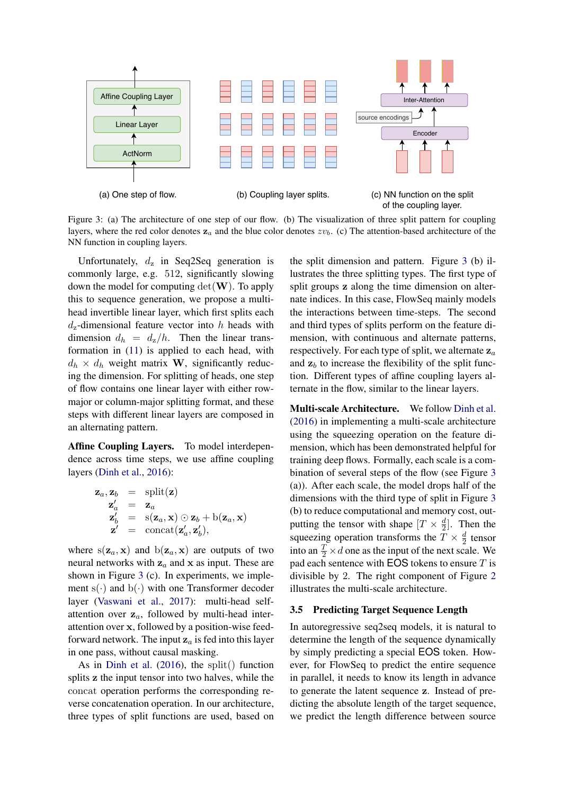<span id="page-4-0"></span>

Figure 3: (a) The architecture of one step of our flow. (b) The visualization of three split pattern for coupling layers, where the red color denotes  $z_a$  and the blue color denotes  $zv_b$ . (c) The attention-based architecture of the NN function in coupling layers.

Unfortunately,  $d_{z}$  in Seq2Seq generation is commonly large, e.g. 512, significantly slowing down the model for computing  $det(\mathbf{W})$ . To apply this to sequence generation, we propose a multihead invertible linear layer, which first splits each  $d_z$ -dimensional feature vector into h heads with dimension  $d_h = d_z/h$ . Then the linear transformation in [\(11\)](#page-3-1) is applied to each head, with  $d_h \times d_h$  weight matrix **W**, significantly reducing the dimension. For splitting of heads, one step of flow contains one linear layer with either rowmajor or column-major splitting format, and these steps with different linear layers are composed in an alternating pattern.

Affine Coupling Layers. To model interdependence across time steps, we use affine coupling layers [\(Dinh et al.,](#page-9-11) [2016\)](#page-9-11):

$$
\mathbf{z}_a, \mathbf{z}_b = \text{split}(\mathbf{z})
$$
  
\n
$$
\mathbf{z}'_a = \mathbf{z}_a
$$
  
\n
$$
\mathbf{z}'_b = \text{s}(\mathbf{z}_a, \mathbf{x}) \odot \mathbf{z}_b + \text{b}(\mathbf{z}_a, \mathbf{x})
$$
  
\n
$$
\mathbf{z}' = \text{concat}(\mathbf{z}'_a, \mathbf{z}'_b),
$$

where  $s(\mathbf{z}_a, \mathbf{x})$  and  $b(\mathbf{z}_a, \mathbf{x})$  are outputs of two neural networks with  $z_a$  and x as input. These are shown in Figure [3](#page-4-0) (c). In experiments, we implement  $s(\cdot)$  and  $b(\cdot)$  with one Transformer decoder layer [\(Vaswani et al.,](#page-10-2) [2017\)](#page-10-2): multi-head selfattention over  $z_a$ , followed by multi-head interattention over x, followed by a position-wise feedforward network. The input  $z_a$  is fed into this layer in one pass, without causal masking.

As in [Dinh et al.](#page-9-11) [\(2016\)](#page-9-11), the split() function splits z the input tensor into two halves, while the concat operation performs the corresponding reverse concatenation operation. In our architecture, three types of split functions are used, based on

the split dimension and pattern. Figure [3](#page-4-0) (b) illustrates the three splitting types. The first type of split groups z along the time dimension on alternate indices. In this case, FlowSeq mainly models the interactions between time-steps. The second and third types of splits perform on the feature dimension, with continuous and alternate patterns, respectively. For each type of split, we alternate  $z_a$ and  $z<sub>b</sub>$  to increase the flexibility of the split function. Different types of affine coupling layers alternate in the flow, similar to the linear layers.

Multi-scale Architecture. We follow [Dinh et al.](#page-9-11) [\(2016\)](#page-9-11) in implementing a multi-scale architecture using the squeezing operation on the feature dimension, which has been demonstrated helpful for training deep flows. Formally, each scale is a combination of several steps of the flow (see Figure [3](#page-4-0) (a)). After each scale, the model drops half of the dimensions with the third type of split in Figure [3](#page-4-0) (b) to reduce computational and memory cost, outputting the tensor with shape  $[T \times \frac{d}{2}]$  $\frac{d}{2}$ . Then the squeezing operation transforms the  $T \times \frac{d}{2}$  $rac{a}{2}$  tensor into an  $\frac{T}{2} \times d$  one as the input of the next scale. We pad each sentence with **EOS** tokens to ensure  $T$  is divisible by 2. The right component of Figure [2](#page-3-0) illustrates the multi-scale architecture.

#### <span id="page-4-1"></span>3.5 Predicting Target Sequence Length

In autoregressive seq2seq models, it is natural to determine the length of the sequence dynamically by simply predicting a special EOS token. However, for FlowSeq to predict the entire sequence in parallel, it needs to know its length in advance to generate the latent sequence z. Instead of predicting the absolute length of the target sequence, we predict the length difference between source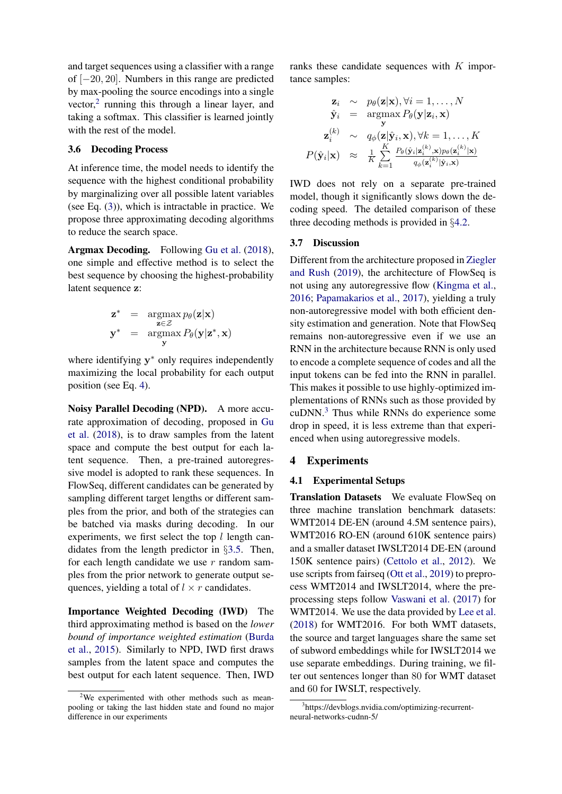and target sequences using a classifier with a range of [−20, 20]. Numbers in this range are predicted by max-pooling the source encodings into a single vector,<sup>[2](#page-5-0)</sup> running this through a linear layer, and taking a softmax. This classifier is learned jointly with the rest of the model.

## 3.6 Decoding Process

At inference time, the model needs to identify the sequence with the highest conditional probability by marginalizing over all possible latent variables (see Eq. [\(3\)](#page-1-1)), which is intractable in practice. We propose three approximating decoding algorithms to reduce the search space.

Argmax Decoding. Following [Gu et al.](#page-9-2) [\(2018\)](#page-9-2), one simple and effective method is to select the best sequence by choosing the highest-probability latent sequence z:

$$
\mathbf{z}^* = \underset{\mathbf{z} \in \mathcal{Z}}{\operatorname{argmax}} p_{\theta}(\mathbf{z}|\mathbf{x})
$$
  

$$
\mathbf{y}^* = \underset{\mathbf{y}}{\operatorname{argmax}} P_{\theta}(\mathbf{y}|\mathbf{z}^*, \mathbf{x})
$$

where identifying y<sup>\*</sup> only requires independently maximizing the local probability for each output position (see Eq. [4\)](#page-1-2).

Noisy Parallel Decoding (NPD). A more accurate approximation of decoding, proposed in [Gu](#page-9-2) [et al.](#page-9-2) [\(2018\)](#page-9-2), is to draw samples from the latent space and compute the best output for each latent sequence. Then, a pre-trained autoregressive model is adopted to rank these sequences. In FlowSeq, different candidates can be generated by sampling different target lengths or different samples from the prior, and both of the strategies can be batched via masks during decoding. In our experiments, we first select the top  $l$  length candidates from the length predictor in §[3.5.](#page-4-1) Then, for each length candidate we use  $r$  random samples from the prior network to generate output sequences, yielding a total of  $l \times r$  candidates.

Importance Weighted Decoding (IWD) The third approximating method is based on the *lower bound of importance weighted estimation* [\(Burda](#page-9-12) [et al.,](#page-9-12) [2015\)](#page-9-12). Similarly to NPD, IWD first draws samples from the latent space and computes the best output for each latent sequence. Then, IWD ranks these candidate sequences with K importance samples:

$$
\mathbf{z}_{i} \sim p_{\theta}(\mathbf{z}|\mathbf{x}), \forall i = 1, ..., N
$$
  
\n
$$
\hat{\mathbf{y}}_{i} = \operatorname*{argmax}_{\mathbf{y}} P_{\theta}(\mathbf{y}|\mathbf{z}_{i}, \mathbf{x})
$$
  
\n
$$
\mathbf{z}_{i}^{(k)} \sim q_{\phi}(\mathbf{z}|\hat{\mathbf{y}}_{i}, \mathbf{x}), \forall k = 1, ..., K
$$
  
\n
$$
P(\hat{\mathbf{y}}_{i}|\mathbf{x}) \approx \frac{1}{K} \sum_{k=1}^{K} \frac{P_{\theta}(\hat{\mathbf{y}}_{i}|\mathbf{z}_{i}^{(k)}, \mathbf{x})p_{\theta}(\mathbf{z}_{i}^{(k)}|\mathbf{x})}{q_{\phi}(\mathbf{z}_{i}^{(k)}|\hat{\mathbf{y}}_{i}, \mathbf{x})}
$$

IWD does not rely on a separate pre-trained model, though it significantly slows down the decoding speed. The detailed comparison of these three decoding methods is provided in §[4.2.](#page-6-0)

#### 3.7 Discussion

Different from the architecture proposed in [Ziegler](#page-10-4) [and Rush](#page-10-4) [\(2019\)](#page-10-4), the architecture of FlowSeq is not using any autoregressive flow [\(Kingma et al.,](#page-9-13) [2016;](#page-9-13) [Papamakarios et al.,](#page-10-8) [2017\)](#page-10-8), yielding a truly non-autoregressive model with both efficient density estimation and generation. Note that FlowSeq remains non-autoregressive even if we use an RNN in the architecture because RNN is only used to encode a complete sequence of codes and all the input tokens can be fed into the RNN in parallel. This makes it possible to use highly-optimized implementations of RNNs such as those provided by  $cuDNN<sup>3</sup>$  $cuDNN<sup>3</sup>$  $cuDNN<sup>3</sup>$ . Thus while RNNs do experience some drop in speed, it is less extreme than that experienced when using autoregressive models.

#### 4 Experiments

## 4.1 Experimental Setups

Translation Datasets We evaluate FlowSeq on three machine translation benchmark datasets: WMT2014 DE-EN (around 4.5M sentence pairs), WMT2016 RO-EN (around 610K sentence pairs) and a smaller dataset IWSLT2014 DE-EN (around 150K sentence pairs) [\(Cettolo et al.,](#page-9-14) [2012\)](#page-9-14). We use scripts from fairseq [\(Ott et al.,](#page-9-15) [2019\)](#page-9-15) to preprocess WMT2014 and IWSLT2014, where the preprocessing steps follow [Vaswani et al.](#page-10-2) [\(2017\)](#page-10-2) for WMT2014. We use the data provided by [Lee et al.](#page-9-3) [\(2018\)](#page-9-3) for WMT2016. For both WMT datasets, the source and target languages share the same set of subword embeddings while for IWSLT2014 we use separate embeddings. During training, we filter out sentences longer than 80 for WMT dataset and 60 for IWSLT, respectively.

<span id="page-5-0"></span> $2$ We experimented with other methods such as meanpooling or taking the last hidden state and found no major difference in our experiments

<span id="page-5-1"></span><sup>3</sup> https://devblogs.nvidia.com/optimizing-recurrentneural-networks-cudnn-5/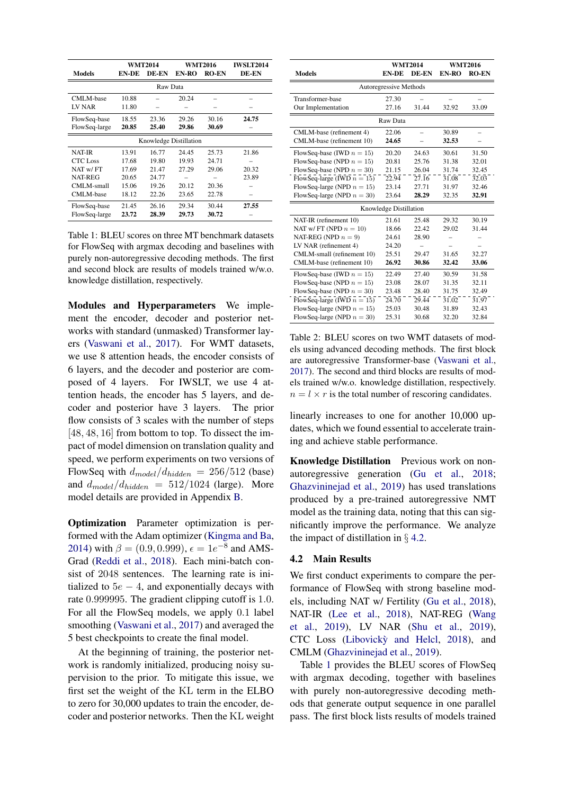<span id="page-6-1"></span>

|                        | <b>WMT2014</b> |       | <b>WMT2016</b> |              | <b>IWSLT2014</b> |  |  |
|------------------------|----------------|-------|----------------|--------------|------------------|--|--|
| <b>Models</b>          | <b>EN-DE</b>   | DE-EN | EN-RO          | <b>RO-EN</b> | DE-EN            |  |  |
| Raw Data               |                |       |                |              |                  |  |  |
| CMLM-base              | 10.88          |       | 20.24          |              |                  |  |  |
| LV NAR                 | 11.80          |       |                |              |                  |  |  |
| FlowSeq-base           | 18.55          | 23.36 | 29.26          | 30.16        | 24.75            |  |  |
| FlowSeq-large          | 20.85          | 25.40 | 29.86          | 30.69        |                  |  |  |
| Knowledge Distillation |                |       |                |              |                  |  |  |
| <b>NAT-IR</b>          | 13.91          | 16.77 | 24.45          | 25.73        | 21.86            |  |  |
| <b>CTC</b> Loss        | 17.68          | 19.80 | 19.93          | 24.71        |                  |  |  |
| NAT w/FT               | 17.69          | 21.47 | 27.29          | 29.06        | 20.32            |  |  |
| <b>NAT-REG</b>         | 20.65          | 24.77 |                |              | 23.89            |  |  |
| CMLM-small             | 15.06          | 19.26 | 20.12          | 20.36        |                  |  |  |
| CMLM-base              | 18.12          | 22.26 | 23.65          | 22.78        |                  |  |  |
| FlowSeq-base           | 21.45          | 26.16 | 29.34          | 30.44        | 27.55            |  |  |
| FlowSeq-large          | 23.72          | 28.39 | 29.73          | 30.72        |                  |  |  |

Table 1: BLEU scores on three MT benchmark datasets for FlowSeq with argmax decoding and baselines with purely non-autoregressive decoding methods. The first and second block are results of models trained w/w.o. knowledge distillation, respectively.

Modules and Hyperparameters We implement the encoder, decoder and posterior networks with standard (unmasked) Transformer layers [\(Vaswani et al.,](#page-10-2) [2017\)](#page-10-2). For WMT datasets, we use 8 attention heads, the encoder consists of 6 layers, and the decoder and posterior are composed of 4 layers. For IWSLT, we use 4 attention heads, the encoder has 5 layers, and decoder and posterior have 3 layers. The prior flow consists of 3 scales with the number of steps [48, 48, 16] from bottom to top. To dissect the impact of model dimension on translation quality and speed, we perform experiments on two versions of FlowSeq with  $d_{model}/d_{hidden} = 256/512$  (base) and  $d_{model}/d_{hidden} = 512/1024$  (large). More model details are provided in Appendix [B.](#page-11-1)

Optimization Parameter optimization is performed with the Adam optimizer [\(Kingma and Ba,](#page-9-16) [2014\)](#page-9-16) with  $\beta = (0.9, 0.999), \epsilon = 1e^{-8}$  and AMS-Grad [\(Reddi et al.,](#page-10-9) [2018\)](#page-10-9). Each mini-batch consist of 2048 sentences. The learning rate is initialized to  $5e - 4$ , and exponentially decays with rate 0.999995. The gradient clipping cutoff is 1.0. For all the FlowSeq models, we apply 0.1 label smoothing [\(Vaswani et al.,](#page-10-2) [2017\)](#page-10-2) and averaged the 5 best checkpoints to create the final model.

At the beginning of training, the posterior network is randomly initialized, producing noisy supervision to the prior. To mitigate this issue, we first set the weight of the KL term in the ELBO to zero for 30,000 updates to train the encoder, decoder and posterior networks. Then the KL weight

<span id="page-6-2"></span>

|                               | <b>WMT2014</b>         |       | <b>WMT2016</b> |              |  |
|-------------------------------|------------------------|-------|----------------|--------------|--|
| <b>Models</b>                 | <b>EN-DE</b>           | DE-EN | EN-RO          | <b>RO-EN</b> |  |
| Autoregressive Methods        |                        |       |                |              |  |
| Transformer-base              | 27.30                  |       |                |              |  |
| Our Implementation            | 27.16                  | 31.44 | 32.92          | 33.09        |  |
|                               | Raw Data               |       |                |              |  |
| CMLM-base (refinement 4)      | 22.06                  |       | 30.89          |              |  |
| CMLM-base (refinement 10)     | 24.65                  |       | 32.53          |              |  |
| FlowSeq-base (IWD $n = 15$ )  | 20.20                  | 24.63 | 30.61          | 31.50        |  |
| FlowSeq-base (NPD $n = 15$ )  | 20.81                  | 25.76 | 31.38          | 32.01        |  |
| FlowSeq-base (NPD $n = 30$ )  | 21.15                  | 26.04 | 31.74          | 32.45        |  |
| FlowSeq-large (IWD $n = 15$ ) | 22.94                  | 27.16 | 31.08          | 32.03        |  |
| FlowSeq-large (NPD $n = 15$ ) | 23.14                  | 27.71 | 31.97          | 32.46        |  |
| FlowSeq-large (NPD $n = 30$ ) | 23.64                  | 28.29 | 32.35          | 32.91        |  |
|                               | Knowledge Distillation |       |                |              |  |
| NAT-IR (refinement 10)        | 21.61                  | 25.48 | 29.32          | 30.19        |  |
| NAT w/FT (NPD $n = 10$ )      | 18.66                  | 22.42 | 29.02          | 31.44        |  |
| NAT-REG (NPD $n = 9$ )        | 24.61                  | 28.90 |                |              |  |
| LV NAR (refinement 4)         | 24.20                  |       |                |              |  |
| CMLM-small (refinement 10)    | 25.51                  | 29.47 | 31.65          | 32.27        |  |
| CMLM-base (refinement 10)     | 26.92                  | 30.86 | 32.42          | 33.06        |  |
| FlowSeq-base (IWD $n = 15$ )  | 22.49                  | 27.40 | 30.59          | 31.58        |  |
| FlowSeq-base (NPD $n = 15$ )  | 23.08                  | 28.07 | 31.35          | 32.11        |  |
| FlowSeq-base (NPD $n = 30$ )  | 23.48                  | 28.40 | 31.75          | 32.49        |  |
| FlowSeq-large (IWD $n = 15$ ) | 24.70                  | 29.44 | 31.02          | 31.97        |  |
| FlowSeq-large (NPD $n = 15$ ) | 25.03                  | 30.48 | 31.89          | 32.43        |  |
| FlowSeq-large (NPD $n = 30$ ) | 25.31                  | 30.68 | 32.20          | 32.84        |  |

Table 2: BLEU scores on two WMT datasets of models using advanced decoding methods. The first block are autoregressive Transformer-base [\(Vaswani et al.,](#page-10-2) [2017\)](#page-10-2). The second and third blocks are results of models trained w/w.o. knowledge distillation, respectively.  $n = l \times r$  is the total number of rescoring candidates.

linearly increases to one for another 10,000 updates, which we found essential to accelerate training and achieve stable performance.

Knowledge Distillation Previous work on nonautoregressive generation [\(Gu et al.,](#page-9-2) [2018;](#page-9-2) [Ghazvininejad et al.,](#page-9-4) [2019\)](#page-9-4) has used translations produced by a pre-trained autoregressive NMT model as the training data, noting that this can significantly improve the performance. We analyze the impact of distillation in  $\S$  [4.2.](#page-6-0)

#### <span id="page-6-0"></span>4.2 Main Results

We first conduct experiments to compare the performance of FlowSeq with strong baseline models, including NAT w/ Fertility [\(Gu et al.,](#page-9-2) [2018\)](#page-9-2), NAT-IR [\(Lee et al.,](#page-9-3) [2018\)](#page-9-3), NAT-REG [\(Wang](#page-10-10) [et al.,](#page-10-10) [2019\)](#page-10-10), LV NAR [\(Shu et al.,](#page-10-11) [2019\)](#page-10-11), CTC Loss (Libovickỳ and Helcl, [2018\)](#page-9-17), and CMLM [\(Ghazvininejad et al.,](#page-9-4) [2019\)](#page-9-4).

Table [1](#page-6-1) provides the BLEU scores of FlowSeq with argmax decoding, together with baselines with purely non-autoregressive decoding methods that generate output sequence in one parallel pass. The first block lists results of models trained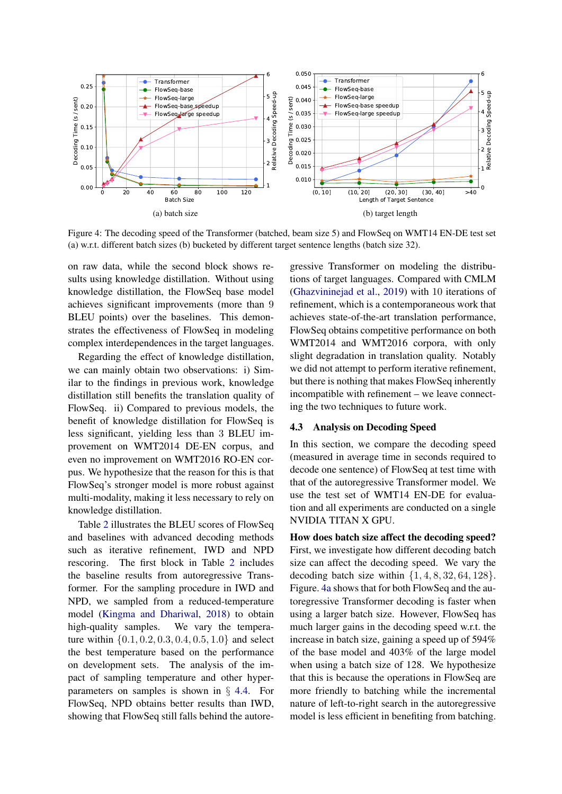<span id="page-7-0"></span>

Figure 4: The decoding speed of the Transformer (batched, beam size 5) and FlowSeq on WMT14 EN-DE test set (a) w.r.t. different batch sizes (b) bucketed by different target sentence lengths (batch size 32).

on raw data, while the second block shows results using knowledge distillation. Without using knowledge distillation, the FlowSeq base model achieves significant improvements (more than 9 BLEU points) over the baselines. This demonstrates the effectiveness of FlowSeq in modeling complex interdependences in the target languages.

Regarding the effect of knowledge distillation, we can mainly obtain two observations: i) Similar to the findings in previous work, knowledge distillation still benefits the translation quality of FlowSeq. ii) Compared to previous models, the benefit of knowledge distillation for FlowSeq is less significant, yielding less than 3 BLEU improvement on WMT2014 DE-EN corpus, and even no improvement on WMT2016 RO-EN corpus. We hypothesize that the reason for this is that FlowSeq's stronger model is more robust against multi-modality, making it less necessary to rely on knowledge distillation.

Table [2](#page-6-2) illustrates the BLEU scores of FlowSeq and baselines with advanced decoding methods such as iterative refinement, IWD and NPD rescoring. The first block in Table [2](#page-6-2) includes the baseline results from autoregressive Transformer. For the sampling procedure in IWD and NPD, we sampled from a reduced-temperature model [\(Kingma and Dhariwal,](#page-9-5) [2018\)](#page-9-5) to obtain high-quality samples. We vary the temperature within {0.1, 0.2, 0.3, 0.4, 0.5, 1.0} and select the best temperature based on the performance on development sets. The analysis of the impact of sampling temperature and other hyperparameters on samples is shown in § [4.4.](#page-8-0) For FlowSeq, NPD obtains better results than IWD, showing that FlowSeq still falls behind the autore-

<span id="page-7-1"></span>gressive Transformer on modeling the distributions of target languages. Compared with CMLM [\(Ghazvininejad et al.,](#page-9-4) [2019\)](#page-9-4) with 10 iterations of refinement, which is a contemporaneous work that achieves state-of-the-art translation performance, FlowSeq obtains competitive performance on both WMT2014 and WMT2016 corpora, with only slight degradation in translation quality. Notably we did not attempt to perform iterative refinement, but there is nothing that makes FlowSeq inherently incompatible with refinement – we leave connecting the two techniques to future work.

## 4.3 Analysis on Decoding Speed

In this section, we compare the decoding speed (measured in average time in seconds required to decode one sentence) of FlowSeq at test time with that of the autoregressive Transformer model. We use the test set of WMT14 EN-DE for evaluation and all experiments are conducted on a single NVIDIA TITAN X GPU.

How does batch size affect the decoding speed? First, we investigate how different decoding batch size can affect the decoding speed. We vary the decoding batch size within  $\{1, 4, 8, 32, 64, 128\}.$ Figure. [4a](#page-7-0) shows that for both FlowSeq and the autoregressive Transformer decoding is faster when using a larger batch size. However, FlowSeq has much larger gains in the decoding speed w.r.t. the increase in batch size, gaining a speed up of 594% of the base model and 403% of the large model when using a batch size of 128. We hypothesize that this is because the operations in FlowSeq are more friendly to batching while the incremental nature of left-to-right search in the autoregressive model is less efficient in benefiting from batching.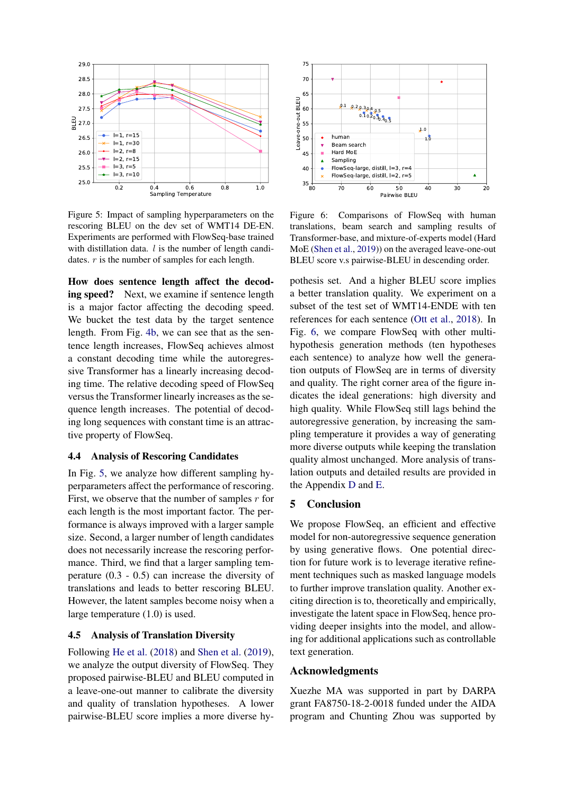<span id="page-8-1"></span>

Figure 5: Impact of sampling hyperparameters on the rescoring BLEU on the dev set of WMT14 DE-EN. Experiments are performed with FlowSeq-base trained with distillation data.  $l$  is the number of length candidates.  $r$  is the number of samples for each length.

How does sentence length affect the decoding speed? Next, we examine if sentence length is a major factor affecting the decoding speed. We bucket the test data by the target sentence length. From Fig. [4b,](#page-7-1) we can see that as the sentence length increases, FlowSeq achieves almost a constant decoding time while the autoregressive Transformer has a linearly increasing decoding time. The relative decoding speed of FlowSeq versus the Transformer linearly increases as the sequence length increases. The potential of decoding long sequences with constant time is an attractive property of FlowSeq.

#### <span id="page-8-0"></span>4.4 Analysis of Rescoring Candidates

In Fig. [5,](#page-8-1) we analyze how different sampling hyperparameters affect the performance of rescoring. First, we observe that the number of samples  $r$  for each length is the most important factor. The performance is always improved with a larger sample size. Second, a larger number of length candidates does not necessarily increase the rescoring performance. Third, we find that a larger sampling temperature (0.3 - 0.5) can increase the diversity of translations and leads to better rescoring BLEU. However, the latent samples become noisy when a large temperature (1.0) is used.

#### 4.5 Analysis of Translation Diversity

Following [He et al.](#page-9-18) [\(2018\)](#page-9-18) and [Shen et al.](#page-10-12) [\(2019\)](#page-10-12), we analyze the output diversity of FlowSeq. They proposed pairwise-BLEU and BLEU computed in a leave-one-out manner to calibrate the diversity and quality of translation hypotheses. A lower pairwise-BLEU score implies a more diverse hy-

<span id="page-8-2"></span>

Figure 6: Comparisons of FlowSeq with human translations, beam search and sampling results of Transformer-base, and mixture-of-experts model (Hard MoE [\(Shen et al.,](#page-10-12) [2019\)](#page-10-12)) on the averaged leave-one-out BLEU score v.s pairwise-BLEU in descending order.

pothesis set. And a higher BLEU score implies a better translation quality. We experiment on a subset of the test set of WMT14-ENDE with ten references for each sentence [\(Ott et al.,](#page-9-19) [2018\)](#page-9-19). In Fig. [6,](#page-8-2) we compare FlowSeq with other multihypothesis generation methods (ten hypotheses each sentence) to analyze how well the generation outputs of FlowSeq are in terms of diversity and quality. The right corner area of the figure indicates the ideal generations: high diversity and high quality. While FlowSeq still lags behind the autoregressive generation, by increasing the sampling temperature it provides a way of generating more diverse outputs while keeping the translation quality almost unchanged. More analysis of translation outputs and detailed results are provided in the Appendix [D](#page-13-0) and [E.](#page-14-0)

# 5 Conclusion

We propose FlowSeq, an efficient and effective model for non-autoregressive sequence generation by using generative flows. One potential direction for future work is to leverage iterative refinement techniques such as masked language models to further improve translation quality. Another exciting direction is to, theoretically and empirically, investigate the latent space in FlowSeq, hence providing deeper insights into the model, and allowing for additional applications such as controllable text generation.

#### Acknowledgments

Xuezhe MA was supported in part by DARPA grant FA8750-18-2-0018 funded under the AIDA program and Chunting Zhou was supported by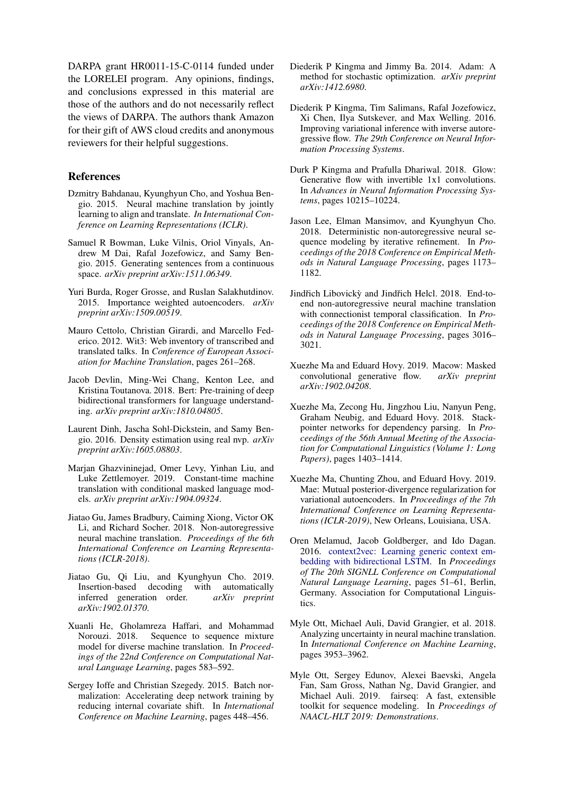DARPA grant HR0011-15-C-0114 funded under the LORELEI program. Any opinions, findings, and conclusions expressed in this material are those of the authors and do not necessarily reflect the views of DARPA. The authors thank Amazon for their gift of AWS cloud credits and anonymous reviewers for their helpful suggestions.

## References

- <span id="page-9-0"></span>Dzmitry Bahdanau, Kyunghyun Cho, and Yoshua Bengio. 2015. Neural machine translation by jointly learning to align and translate. *In International Conference on Learning Representations (ICLR)*.
- <span id="page-9-20"></span>Samuel R Bowman, Luke Vilnis, Oriol Vinyals, Andrew M Dai, Rafal Jozefowicz, and Samy Bengio. 2015. Generating sentences from a continuous space. *arXiv preprint arXiv:1511.06349*.
- <span id="page-9-12"></span>Yuri Burda, Roger Grosse, and Ruslan Salakhutdinov. 2015. Importance weighted autoencoders. *arXiv preprint arXiv:1509.00519*.
- <span id="page-9-14"></span>Mauro Cettolo, Christian Girardi, and Marcello Federico. 2012. Wit3: Web inventory of transcribed and translated talks. In *Conference of European Association for Machine Translation*, pages 261–268.
- <span id="page-9-8"></span>Jacob Devlin, Ming-Wei Chang, Kenton Lee, and Kristina Toutanova. 2018. Bert: Pre-training of deep bidirectional transformers for language understanding. *arXiv preprint arXiv:1810.04805*.
- <span id="page-9-11"></span>Laurent Dinh, Jascha Sohl-Dickstein, and Samy Bengio. 2016. Density estimation using real nvp. *arXiv preprint arXiv:1605.08803*.
- <span id="page-9-4"></span>Marjan Ghazvininejad, Omer Levy, Yinhan Liu, and Luke Zettlemoyer. 2019. Constant-time machine translation with conditional masked language models. *arXiv preprint arXiv:1904.09324*.
- <span id="page-9-2"></span>Jiatao Gu, James Bradbury, Caiming Xiong, Victor OK Li, and Richard Socher. 2018. Non-autoregressive neural machine translation. *Proceedings of the 6th International Conference on Learning Representations (ICLR-2018)*.
- <span id="page-9-1"></span>Jiatao Gu, Qi Liu, and Kyunghyun Cho. 2019. Insertion-based decoding with automatically inferred generation order. *arXiv preprint arXiv:1902.01370*.
- <span id="page-9-18"></span>Xuanli He, Gholamreza Haffari, and Mohammad Norouzi. 2018. Sequence to sequence mixture model for diverse machine translation. In *Proceedings of the 22nd Conference on Computational Natural Language Learning*, pages 583–592.
- <span id="page-9-10"></span>Sergey Ioffe and Christian Szegedy. 2015. Batch normalization: Accelerating deep network training by reducing internal covariate shift. In *International Conference on Machine Learning*, pages 448–456.
- <span id="page-9-16"></span>Diederik P Kingma and Jimmy Ba. 2014. Adam: A method for stochastic optimization. *arXiv preprint arXiv:1412.6980*.
- <span id="page-9-13"></span>Diederik P Kingma, Tim Salimans, Rafal Jozefowicz, Xi Chen, Ilya Sutskever, and Max Welling. 2016. Improving variational inference with inverse autoregressive flow. *The 29th Conference on Neural Information Processing Systems*.
- <span id="page-9-5"></span>Durk P Kingma and Prafulla Dhariwal. 2018. Glow: Generative flow with invertible 1x1 convolutions. In *Advances in Neural Information Processing Systems*, pages 10215–10224.
- <span id="page-9-3"></span>Jason Lee, Elman Mansimov, and Kyunghyun Cho. 2018. Deterministic non-autoregressive neural sequence modeling by iterative refinement. In *Proceedings of the 2018 Conference on Empirical Methods in Natural Language Processing*, pages 1173– 1182.
- <span id="page-9-17"></span>Jindřich Libovický and Jindřich Helcl. 2018. End-toend non-autoregressive neural machine translation with connectionist temporal classification. In *Proceedings of the 2018 Conference on Empirical Methods in Natural Language Processing*, pages 3016– 3021.
- <span id="page-9-6"></span>Xuezhe Ma and Eduard Hovy. 2019. Macow: Masked convolutional generative flow. *arXiv preprint arXiv:1902.04208*.
- <span id="page-9-9"></span>Xuezhe Ma, Zecong Hu, Jingzhou Liu, Nanyun Peng, Graham Neubig, and Eduard Hovy. 2018. Stackpointer networks for dependency parsing. In *Proceedings of the 56th Annual Meeting of the Association for Computational Linguistics (Volume 1: Long Papers)*, pages 1403–1414.
- <span id="page-9-21"></span>Xuezhe Ma, Chunting Zhou, and Eduard Hovy. 2019. Mae: Mutual posterior-divergence regularization for variational autoencoders. In *Proceedings of the 7th International Conference on Learning Representations (ICLR-2019)*, New Orleans, Louisiana, USA.
- <span id="page-9-7"></span>Oren Melamud, Jacob Goldberger, and Ido Dagan. 2016. [context2vec: Learning generic context em](https://doi.org/10.18653/v1/K16-1006)[bedding with bidirectional LSTM.](https://doi.org/10.18653/v1/K16-1006) In *Proceedings of The 20th SIGNLL Conference on Computational Natural Language Learning*, pages 51–61, Berlin, Germany. Association for Computational Linguistics.
- <span id="page-9-19"></span>Myle Ott, Michael Auli, David Grangier, et al. 2018. Analyzing uncertainty in neural machine translation. In *International Conference on Machine Learning*, pages 3953–3962.
- <span id="page-9-15"></span>Myle Ott, Sergey Edunov, Alexei Baevski, Angela Fan, Sam Gross, Nathan Ng, David Grangier, and Michael Auli. 2019. fairseq: A fast, extensible toolkit for sequence modeling. In *Proceedings of NAACL-HLT 2019: Demonstrations*.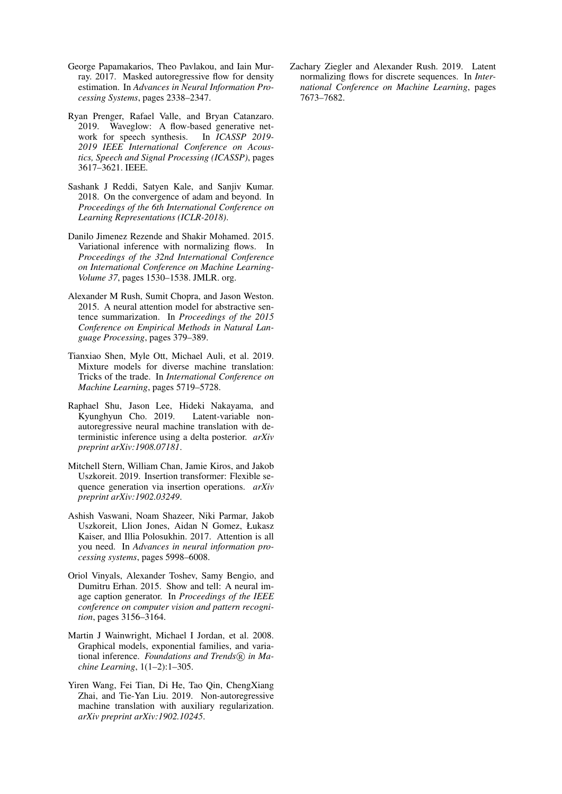- <span id="page-10-8"></span>George Papamakarios, Theo Pavlakou, and Iain Murray. 2017. Masked autoregressive flow for density estimation. In *Advances in Neural Information Processing Systems*, pages 2338–2347.
- <span id="page-10-6"></span>Ryan Prenger, Rafael Valle, and Bryan Catanzaro. 2019. Waveglow: A flow-based generative network for speech synthesis. In *ICASSP 2019- 2019 IEEE International Conference on Acoustics, Speech and Signal Processing (ICASSP)*, pages 3617–3621. IEEE.
- <span id="page-10-9"></span>Sashank J Reddi, Satyen Kale, and Sanjiv Kumar. 2018. On the convergence of adam and beyond. In *Proceedings of the 6th International Conference on Learning Representations (ICLR-2018)*.
- <span id="page-10-5"></span>Danilo Jimenez Rezende and Shakir Mohamed. 2015. Variational inference with normalizing flows. In *Proceedings of the 32nd International Conference on International Conference on Machine Learning-Volume 37*, pages 1530–1538. JMLR. org.
- <span id="page-10-0"></span>Alexander M Rush, Sumit Chopra, and Jason Weston. 2015. A neural attention model for abstractive sentence summarization. In *Proceedings of the 2015 Conference on Empirical Methods in Natural Language Processing*, pages 379–389.
- <span id="page-10-12"></span>Tianxiao Shen, Myle Ott, Michael Auli, et al. 2019. Mixture models for diverse machine translation: Tricks of the trade. In *International Conference on Machine Learning*, pages 5719–5728.
- <span id="page-10-11"></span>Raphael Shu, Jason Lee, Hideki Nakayama, and Kyunghyun Cho. 2019. Latent-variable nonautoregressive neural machine translation with deterministic inference using a delta posterior. *arXiv preprint arXiv:1908.07181*.
- <span id="page-10-3"></span>Mitchell Stern, William Chan, Jamie Kiros, and Jakob Uszkoreit. 2019. Insertion transformer: Flexible sequence generation via insertion operations. *arXiv preprint arXiv:1902.03249*.
- <span id="page-10-2"></span>Ashish Vaswani, Noam Shazeer, Niki Parmar, Jakob Uszkoreit, Llion Jones, Aidan N Gomez, Łukasz Kaiser, and Illia Polosukhin. 2017. Attention is all you need. In *Advances in neural information processing systems*, pages 5998–6008.
- <span id="page-10-1"></span>Oriol Vinyals, Alexander Toshev, Samy Bengio, and Dumitru Erhan. 2015. Show and tell: A neural image caption generator. In *Proceedings of the IEEE conference on computer vision and pattern recognition*, pages 3156–3164.
- <span id="page-10-7"></span>Martin J Wainwright, Michael I Jordan, et al. 2008. Graphical models, exponential families, and variational inference. *Foundations and Trends* $(\widehat{R})$  *in Machine Learning*, 1(1–2):1–305.
- <span id="page-10-10"></span>Yiren Wang, Fei Tian, Di He, Tao Qin, ChengXiang Zhai, and Tie-Yan Liu. 2019. Non-autoregressive machine translation with auxiliary regularization. *arXiv preprint arXiv:1902.10245*.

<span id="page-10-4"></span>Zachary Ziegler and Alexander Rush. 2019. Latent normalizing flows for discrete sequences. In *International Conference on Machine Learning*, pages 7673–7682.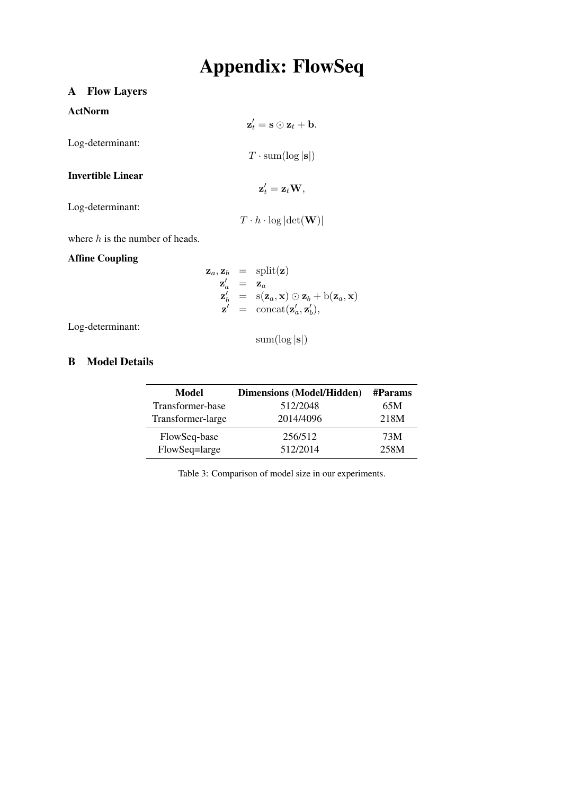# Appendix: FlowSeq

 $\mathbf{z}'_t = \mathbf{s} \odot \mathbf{z}_t + \mathbf{b}.$ 

 $T \cdot \text{sum}(\log |\mathbf{s}|)$ 

 $\mathbf{z}'_t = \mathbf{z}_t \mathbf{W},$ 

# <span id="page-11-0"></span>A Flow Layers

# ActNorm

Log-determinant:

Invertible Linear

Log-determinant:

 $T \cdot h \cdot \log |\det(\mathbf{W})|$ 

where  $h$  is the number of heads.

# Affine Coupling

$$
\mathbf{z}_a, \mathbf{z}_b = \text{split}(\mathbf{z})
$$
  
\n
$$
\mathbf{z}'_a = \mathbf{z}_a
$$
  
\n
$$
\mathbf{z}'_b = \text{s}(\mathbf{z}_a, \mathbf{x}) \odot \mathbf{z}_b + \text{b}(\mathbf{z}_a, \mathbf{x})
$$
  
\n
$$
\mathbf{z}' = \text{concat}(\mathbf{z}'_a, \mathbf{z}'_b),
$$

Log-determinant:

 $sum(log |s|)$ 

# <span id="page-11-1"></span>B Model Details

| Model             | <b>Dimensions (Model/Hidden)</b> | #Params |
|-------------------|----------------------------------|---------|
| Transformer-base  | 512/2048                         | 65M     |
| Transformer-large | 2014/4096                        | 218M    |
| FlowSeq-base      | 256/512                          | 73M     |
| FlowSeq=large     | 512/2014                         | 258M    |

Table 3: Comparison of model size in our experiments.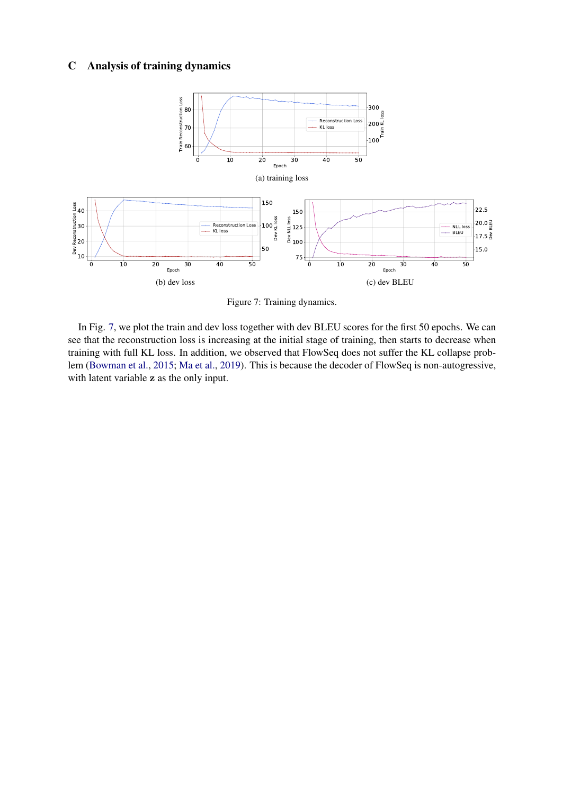# C Analysis of training dynamics

<span id="page-12-0"></span>

Figure 7: Training dynamics.

In Fig. [7,](#page-12-0) we plot the train and dev loss together with dev BLEU scores for the first 50 epochs. We can see that the reconstruction loss is increasing at the initial stage of training, then starts to decrease when training with full KL loss. In addition, we observed that FlowSeq does not suffer the KL collapse problem [\(Bowman et al.,](#page-9-20) [2015;](#page-9-20) [Ma et al.,](#page-9-21) [2019\)](#page-9-21). This is because the decoder of FlowSeq is non-autogressive, with latent variable z as the only input.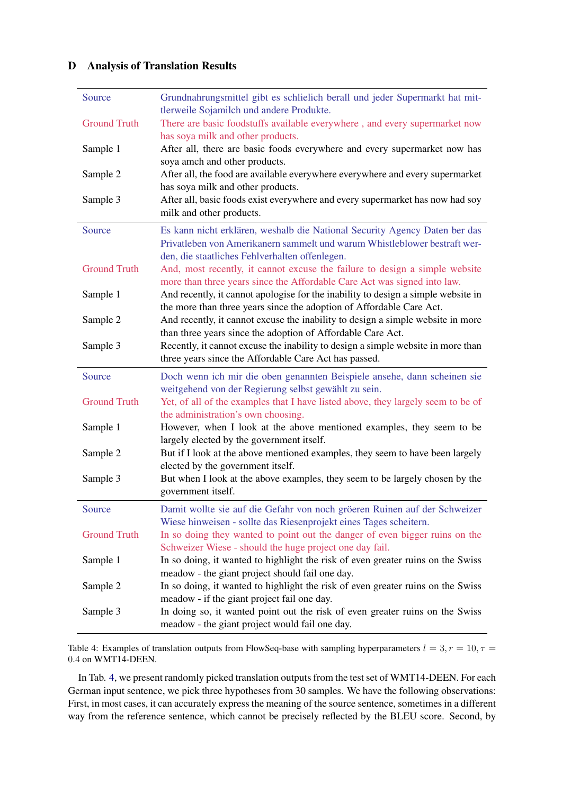# <span id="page-13-0"></span>D Analysis of Translation Results

<span id="page-13-1"></span>

| Source              | Grundnahrungsmittel gibt es schlielich berall und jeder Supermarkt hat mit-<br>tlerweile Sojamilch und andere Produkte.                                                                                   |
|---------------------|-----------------------------------------------------------------------------------------------------------------------------------------------------------------------------------------------------------|
| <b>Ground Truth</b> | There are basic foodstuffs available everywhere, and every supermarket now<br>has soya milk and other products.                                                                                           |
| Sample 1            | After all, there are basic foods everywhere and every supermarket now has<br>soya amch and other products.                                                                                                |
| Sample 2            | After all, the food are available everywhere everywhere and every supermarket                                                                                                                             |
| Sample 3            | has soya milk and other products.<br>After all, basic foods exist everywhere and every supermarket has now had soy<br>milk and other products.                                                            |
| Source              | Es kann nicht erklären, weshalb die National Security Agency Daten ber das<br>Privatleben von Amerikanern sammelt und warum Whistleblower bestraft wer-                                                   |
| <b>Ground Truth</b> | den, die staatliches Fehlverhalten offenlegen.<br>And, most recently, it cannot excuse the failure to design a simple website<br>more than three years since the Affordable Care Act was signed into law. |
| Sample 1            | And recently, it cannot apologise for the inability to design a simple website in<br>the more than three years since the adoption of Affordable Care Act.                                                 |
| Sample 2            | And recently, it cannot excuse the inability to design a simple website in more                                                                                                                           |
| Sample 3            | than three years since the adoption of Affordable Care Act.<br>Recently, it cannot excuse the inability to design a simple website in more than<br>three years since the Affordable Care Act has passed.  |
| Source              | Doch wenn ich mir die oben genannten Beispiele ansehe, dann scheinen sie                                                                                                                                  |
| <b>Ground Truth</b> | weitgehend von der Regierung selbst gewählt zu sein.<br>Yet, of all of the examples that I have listed above, they largely seem to be of<br>the administration's own choosing.                            |
| Sample 1            | However, when I look at the above mentioned examples, they seem to be<br>largely elected by the government itself.                                                                                        |
| Sample 2            | But if I look at the above mentioned examples, they seem to have been largely<br>elected by the government itself.                                                                                        |
| Sample 3            | But when I look at the above examples, they seem to be largely chosen by the<br>government itself.                                                                                                        |
| Source              | Damit wollte sie auf die Gefahr von noch gröeren Ruinen auf der Schweizer<br>Wiese hinweisen - sollte das Riesenprojekt eines Tages scheitern.                                                            |
| <b>Ground Truth</b> | In so doing they wanted to point out the danger of even bigger ruins on the<br>Schweizer Wiese - should the huge project one day fail.                                                                    |
| Sample 1            | In so doing, it wanted to highlight the risk of even greater ruins on the Swiss<br>meadow - the giant project should fail one day.                                                                        |
| Sample 2            | In so doing, it wanted to highlight the risk of even greater ruins on the Swiss<br>meadow - if the giant project fail one day.                                                                            |
| Sample 3            | In doing so, it wanted point out the risk of even greater ruins on the Swiss<br>meadow - the giant project would fail one day.                                                                            |

Table 4: Examples of translation outputs from FlowSeq-base with sampling hyperparameters  $l = 3, r = 10, \tau =$ 0.4 on WMT14-DEEN.

In Tab. [4,](#page-13-1) we present randomly picked translation outputs from the test set of WMT14-DEEN. For each German input sentence, we pick three hypotheses from 30 samples. We have the following observations: First, in most cases, it can accurately express the meaning of the source sentence, sometimes in a different way from the reference sentence, which cannot be precisely reflected by the BLEU score. Second, by